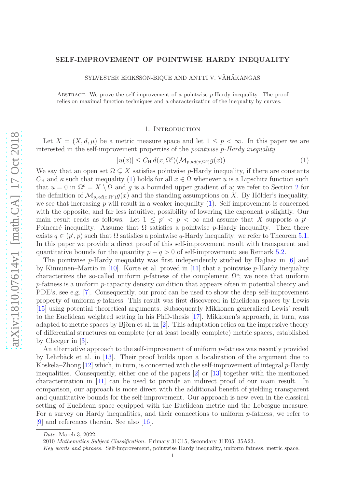# arXiv:1810.07614v1 [math.CA] 17 Oct 2018 [arXiv:1810.07614v1 \[math.CA\] 17 Oct 2018](http://arxiv.org/abs/1810.07614v1)

# SELF-IMPROVEMENT OF POINTWISE HARDY INEQUALITY

SYLVESTER ERIKSSON-BIQUE AND ANTTI V. VÄHÄKANGAS

ABSTRACT. We prove the self-improvement of a pointwise  $p$ -Hardy inequality. The proof relies on maximal function techniques and a characterization of the inequality by curves.

# 1. INTRODUCTION

Let  $X = (X, d, \mu)$  be a metric measure space and let  $1 \leq p \leq \infty$ . In this paper we are interested in the self-improvement properties of the *pointwise* p*-Hardy inequality*

<span id="page-0-0"></span>
$$
|u(x)| \le C_H d(x, \Omega^c)(\mathcal{M}_{p, \kappa d(x, \Omega^c)} g(x)). \tag{1}
$$

We say that an open set  $\Omega \subsetneq X$  satisfies pointwise p-Hardy inequality, if there are constants  $C_H$  and  $\kappa$  such that inequality [\(1\)](#page-0-0) holds for all  $x \in \Omega$  whenever u is a Lipschitz function such that  $u = 0$  in  $\Omega^c = X \setminus \Omega$  and g is a bounded upper gradient of u; we refer to Section [2](#page-1-0) for the definition of  $\mathcal{M}_{p, \kappa d(x, \Omega^c)} g(x)$  and the standing assumptions on X. By Hölder's inequality, we see that increasing  $p$  will result in a weaker inequality  $(1)$ . Self-improvement is concerned with the opposite, and far less intuitive, possibility of lowering the exponent  $p$  slightly. Our main result reads as follows. Let  $1 \leq p' < p < \infty$  and assume that X supports a p'-Poincaré inequality. Assume that  $\Omega$  satisfies a pointwise p-Hardy inequality. Then there exists  $q \in (p', p)$  such that  $\Omega$  satisfies a pointwise q-Hardy inequality; we refer to Theorem [5.1.](#page-12-0) In this paper we provide a direct proof of this self-improvement result with transparent and quantitative bounds for the quantity  $p - q > 0$  of self-improvement; see Remark [5.2.](#page-12-1)

The pointwise p-Hardy inequality was first independently studied by Hajlasz in  $[6]$  and by Kinnunen–Martio in [\[10\]](#page-13-1). Korte et al. proved in [\[11\]](#page-13-2) that a pointwise  $p$ -Hardy inequality characterizes the so-called uniform p-fatness of the complement  $\Omega^c$ ; we note that uniform p-fatness is a uniform p-capacity density condition that appears often in potential theory and PDE's, see e.g. [\[7\]](#page-13-3). Consequently, our proof can be used to show the deep self-improvement property of uniform p-fatness. This result was first discovered in Euclidean spaces by Lewis [\[15\]](#page-13-4) using potential theoretical arguments. Subsequently Mikkonen generalized Lewis' result to the Euclidean weighted setting in his PhD-thesis [\[17\]](#page-13-5). Mikkonen's approach, in turn, was adapted to metric spaces by Björn et al. in  $[2]$ . This adaptation relies on the impressive theory of differential structures on complete (or at least locally complete) metric spaces, established by Cheeger in [\[3\]](#page-13-7).

An alternative approach to the self-improvement of uniform p-fatness was recently provided by Lehrbäck et al. in [\[13\]](#page-13-8). Their proof builds upon a localization of the argument due to Koskela–Zhong  $[12]$  which, in turn, is concerned with the self-improvement of integral  $p$ -Hardy inequalities. Consequently, either one of the papers [\[2\]](#page-13-6) or [\[13\]](#page-13-8) together with the mentioned characterization in [\[11\]](#page-13-2) can be used to provide an indirect proof of our main result. In comparison, our approach is more direct with the additional benefit of yielding transparent and quantitative bounds for the self-improvement. Our approach is new even in the classical setting of Euclidean space equipped with the Euclidean metric and the Lebesgue measure. For a survey on Hardy inequalities, and their connections to uniform p-fatness, we refer to [\[9\]](#page-13-10) and references therein. See also [\[16\]](#page-13-11).

Date: March 3, 2022.

<sup>2010</sup> Mathematics Subject Classification. Primary 31C15, Secondary 31E05, 35A23.

Key words and phrases. Self-improvement, pointwise Hardy inequality, uniform fatness, metric space.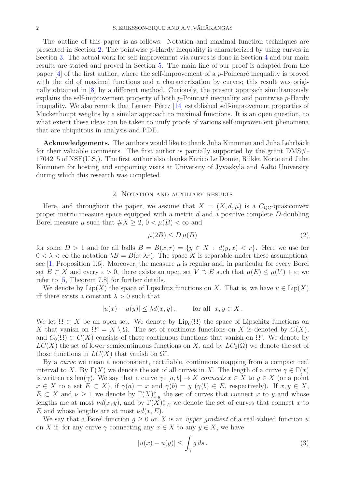The outline of this paper is as follows. Notation and maximal function techniques are presented in Section [2.](#page-1-0) The pointwise p-Hardy inequality is characterized by using curves in Section [3.](#page-4-0) The actual work for self-improvement via curves is done in Section [4](#page-8-0) and our main results are stated and proved in Section [5.](#page-12-2) The main line of our proof is adapted from the paper  $[4]$  of the first author, where the self-improvement of a p-Poincaré inequality is proved with the aid of maximal functions and a characterization by curves; this result was originally obtained in [\[8\]](#page-13-13) by a different method. Curiously, the present approach simultaneously explains the self-improvement property of both  $p$ -Poincaré inequality and pointwise  $p$ -Hardy inequality. We also remark that Lerner–Pérez  $[14]$  established self-improvement properties of Muckenhoupt weights by a similar approach to maximal functions. It is an open question, to what extent these ideas can be taken to unify proofs of various self-improvement phenomena that are ubiquitous in analysis and PDE.

Acknowledgements. The authors would like to thank Juha Kinnunen and Juha Lehrbäck for their valuable comments. The first author is partially supported by the grant DMS $\#$ -1704215 of NSF(U.S.). The first author also thanks Enrico Le Donne, Riikka Korte and Juha Kinnunen for hosting and supporting visits at University of Jyväskylä and Aalto University during which this research was completed.

# 2. NOTATION AND AUXILIARY RESULTS

<span id="page-1-0"></span>Here, and throughout the paper, we assume that  $X = (X, d, \mu)$  is a  $C_{\text{QC}}$ -quasiconvex proper metric measure space equipped with a metric d and a positive complete D-doubling Borel measure  $\mu$  such that  $\#X \geq 2$ ,  $0 < \mu(B) < \infty$  and

$$
\mu(2B) \le D\,\mu(B) \tag{2}
$$

for some  $D > 1$  and for all balls  $B = B(x, r) = \{y \in X : d(y, x) < r\}$ . Here we use for  $0 < \lambda < \infty$  the notation  $\lambda B = B(x, \lambda r)$ . The space X is separable under these assumptions, see [\[1,](#page-13-15) Proposition 1.6]. Moreover, the measure  $\mu$  is regular and, in particular for every Borel set  $E \subset X$  and every  $\varepsilon > 0$ , there exists an open set  $V \supset E$  such that  $\mu(E) \leq \mu(V) + \varepsilon$ ; we refer to [\[5,](#page-13-16) Theorem 7.8] for further details.

We denote by  $\text{Lip}(X)$  the space of Lipschitz functions on X. That is, we have  $u \in \text{Lip}(X)$ iff there exists a constant  $\lambda > 0$  such that

$$
|u(x) - u(y)| \le \lambda d(x, y), \quad \text{for all } x, y \in X.
$$

We let  $\Omega \subset X$  be an open set. We denote by  $\text{Lip}_0(\Omega)$  the space of Lipschitz functions on X that vanish on  $\Omega^c = X \setminus \Omega$ . The set of continuous functions on X is denoted by  $C(X)$ , and  $C_0(\Omega) \subset C(X)$  consists of those continuous functions that vanish on  $\Omega^c$ . We denote by  $LC(X)$  the set of lower semicontinuous functions on X, and by  $LC_0(\Omega)$  we denote the set of those functions in  $LC(X)$  that vanish on  $\Omega^c$ .

By a *curve* we mean a nonconstant, rectifiable, continuous mapping from a compact real interval to X. By  $\Gamma(X)$  we denote the set of all curves in X. The length of a curve  $\gamma \in \Gamma(x)$ is written as len( $\gamma$ ). We say that a curve  $\gamma: [a, b] \to X$  *connects*  $x \in X$  to  $y \in X$  (or a point  $x \in X$  to a set  $E \subset X$ ), if  $\gamma(a) = x$  and  $\gamma(b) = y$   $(\gamma(b) \in E$ , respectively). If  $x, y \in X$ ,  $E \subset X$  and  $\nu \geq 1$  we denote by  $\Gamma(X)_{x,y}^{\nu}$  the set of curves that connect x to y and whose lengths are at most  $\nu d(x, y)$ , and by  $\Gamma(X)_{x,E}^{\nu}$  we denote the set of curves that connect x to E and whose lengths are at most  $\nu d(x, E)$ .

We say that a Borel function  $g \geq 0$  on X is an *upper gradient* of a real-valued function u on X if, for any curve  $\gamma$  connecting any  $x \in X$  to any  $y \in X$ , we have

$$
|u(x) - u(y)| \le \int_{\gamma} g \, ds \,. \tag{3}
$$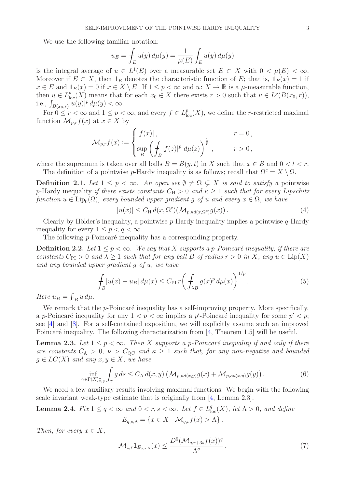We use the following familiar notation:

$$
u_E = \int_E u(y) d\mu(y) = \frac{1}{\mu(E)} \int_E u(y) d\mu(y)
$$

is the integral average of  $u \in L^1(E)$  over a measurable set  $E \subset X$  with  $0 < \mu(E) < \infty$ . Moreover if  $E \subset X$ , then  $\mathbf{1}_E$  denotes the characteristic function of E; that is,  $\mathbf{1}_E(x) = 1$  if  $x \in E$  and  $\mathbf{1}_E(x) = 0$  if  $x \in X \setminus E$ . If  $1 \leq p < \infty$  and  $u: X \to \mathbb{R}$  is a  $\mu$ -measurable function, then  $u \in L^p_{loc}(X)$  means that for each  $x_0 \in X$  there exists  $r > 0$  such that  $u \in L^p(B(x_0, r)),$ i.e.,  $\int_{B(x_0,r)} |u(y)|^p d\mu(y) < \infty$ .

For  $0 \leq r < \infty$  and  $1 \leq p < \infty$ , and every  $f \in L^p_{loc}(X)$ , we define the *r*-restricted maximal function  $\mathcal{M}_{p,r}f(x)$  at  $x \in X$  by

$$
\mathcal{M}_{p,r}f(x) := \begin{cases} |f(x)|, & r = 0, \\ \sup_B \left( \int_B |f(z)|^p \ d\mu(z) \right)^{\frac{1}{p}}, & r > 0, \end{cases}
$$

where the supremum is taken over all balls  $B = B(y, t)$  in X such that  $x \in B$  and  $0 < t < r$ .

<span id="page-2-1"></span>The definition of a pointwise p-Hardy inequality is as follows; recall that  $\Omega^c = X \setminus \Omega$ . **Definition 2.1.** Let  $1 \leq p < \infty$ . An open set  $\emptyset \neq \Omega \subseteq X$  is said to satisfy a pointwise p-Hardy inequality *if there exists constants*  $C_H > 0$  *and*  $\kappa \ge 1$  *such that for every Lipschitz* 

 $function u \in \text{Lip}_0(\Omega)$ *, every bounded upper gradient g of* u and every  $x \in \Omega$ *, we have* 

<span id="page-2-0"></span>
$$
|u(x)| \le C_{\mathcal{H}} d(x, \Omega^c) (\mathcal{M}_{p, \kappa d(x, \Omega^c)} g(x)). \tag{4}
$$

Clearly by Hölder's inequality, a pointwise  $p$ -Hardy inequality implies a pointwise  $q$ -Hardy inequality for every  $1 \leq p \leq q \leq \infty$ .

The following  $p$ -Poincaré inequality has a corresponding property.

**Definition 2.2.** Let  $1 \leq p < \infty$ . We say that X supports a p-Poincaré inequality, if there are *constants*  $C_{PI} > 0$  *and*  $\lambda \geq 1$  *such that for any ball* B *of radius*  $r > 0$  *in* X, any  $u \in Lip(X)$ *and any bounded upper gradient* g *of* u*, we have*

<span id="page-2-5"></span>
$$
\int_{B} |u(x) - u_{B}| d\mu(x) \le C_{\text{PI}} r \left( \int_{\lambda B} g(x)^{p} d\mu(x) \right)^{1/p}.
$$
\n
$$
(5)
$$

*Here*  $u_B = \int_B u \, d\mu$ .

We remark that the  $p$ -Poincaré inequality has a self-improving property. More specifically, a p-Poincaré inequality for any  $1 < p < \infty$  implies a p'-Poincaré inequality for some  $p' < p$ ; see [\[4\]](#page-13-12) and [\[8\]](#page-13-13). For a self-contained exposition, we will explicitly assume such an improved Poincaré inequality. The following characterization from  $[4,$  Theorem 1.5] will be useful.

<span id="page-2-2"></span>**Lemma 2.3.** Let  $1 \leq p < \infty$ . Then X supports a p-Poincaré inequality if and only if there *are constants*  $C_A > 0$ ,  $\nu > C_{\text{QC}}$  *and*  $\kappa \geq 1$  *such that, for any non-negative and bounded*  $g \in LC(X)$  *and any*  $x, y \in X$ *, we have* 

<span id="page-2-3"></span>
$$
\inf_{\in \Gamma(X)_{x,y}^{\nu}} \int_{\gamma} g \, ds \le C_{\mathcal{A}} d(x,y) \left( \mathcal{M}_{p,\kappa d(x,y)} g(x) + \mathcal{M}_{p,\kappa d(x,y)} g(y) \right). \tag{6}
$$

We need a few auxiliary results involving maximal functions. We begin with the following scale invariant weak-type estimate that is originally from [\[4,](#page-13-12) Lemma 2.3].

<span id="page-2-4"></span>**Lemma 2.4.** *Fix*  $1 \leq q < \infty$  *and*  $0 < r, s < \infty$ *. Let*  $f \in L^q_{loc}(X)$ *, let*  $\Lambda > 0$ *, and define*  $E_{a,s,\Lambda} = \{x \in X \mid \mathcal{M}_{a,s}f(x) > \Lambda\}.$ 

*Then, for every*  $x \in X$ ,

 $\gamma$ 

$$
\mathcal{M}_{1,r} \mathbf{1}_{E_{q,s,\Lambda}}(x) \le \frac{D^5 (\mathcal{M}_{q,r+3s}f(x))^q}{\Lambda^q} \,. \tag{7}
$$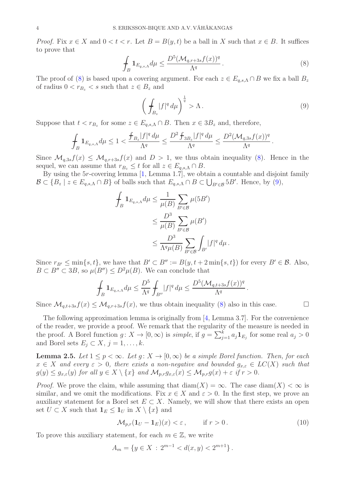*Proof.* Fix  $x \in X$  and  $0 < t < r$ . Let  $B = B(y, t)$  be a ball in X such that  $x \in B$ . It suffices to prove that

<span id="page-3-0"></span>
$$
\int_{B} \mathbf{1}_{E_{q,s,\Lambda}} d\mu \le \frac{D^5 (\mathcal{M}_{q,r+3s} f(x))^q}{\Lambda^q} \,. \tag{8}
$$

The proof of [\(8\)](#page-3-0) is based upon a covering argument. For each  $z \in E_{q,s,\Lambda} \cap B$  we fix a ball  $B_z$ of radius  $0 < r_{B_z} < s$  such that  $z \in B_z$  and

<span id="page-3-1"></span>
$$
\left(\int_{B_z} |f|^q \, d\mu\right)^{\frac{1}{q}} > \Lambda \,. \tag{9}
$$

Suppose that  $t < r_{B_z}$  for some  $z \in E_{q,s,\Lambda} \cap B$ . Then  $x \in 3B_z$  and, therefore,

$$
\int_B \mathbf{1}_{E_{q,s,\Lambda}} d\mu \leq 1 < \frac{\int_{B_z} |f|^q \, d\mu}{\Lambda^q} \leq \frac{D^2 \int_{3B_z} |f|^q \, d\mu}{\Lambda^q} \leq \frac{D^2 (\mathcal{M}_{q,3s}f(x))^q}{\Lambda^q}.
$$

Since  $\mathcal{M}_{q,3s}f(x) \leq \mathcal{M}_{q,r+3s}f(x)$  and  $D > 1$ , we thus obtain inequality [\(8\)](#page-3-0). Hence in the sequel, we can assume that  $r_{B_z} \leq t$  for all  $z \in E_{q,s,\Lambda} \cap B$ .

By using the 5r-covering lemma [\[1,](#page-13-15) Lemma 1.7], we obtain a countable and disjoint family  $\mathcal{B} \subset \{B_z \mid z \in E_{q,s,\Lambda} \cap B\}$  of balls such that  $E_{q,s,\Lambda} \cap B \subset \bigcup_{B' \in \mathcal{B}} 5B'$ . Hence, by [\(9\)](#page-3-1),

$$
\int_{B} 1_{E_{q,s,\Lambda}} d\mu \leq \frac{1}{\mu(B)} \sum_{B' \in \mathcal{B}} \mu(5B')
$$
\n
$$
\leq \frac{D^3}{\mu(B)} \sum_{B' \in \mathcal{B}} \mu(B')
$$
\n
$$
\leq \frac{D^3}{\Lambda^q \mu(B)} \sum_{B' \in \mathcal{B}} \int_{B'} |f|^q d\mu.
$$

Since  $r_{B'} \le \min\{s, t\}$ , we have that  $B' \subset B'' := B(y, t + 2\min\{s, t\})$  for every  $B' \in \mathcal{B}$ . Also,  $B \subset B'' \subset 3B$ , so  $\mu(B'') \leq D^2 \mu(B)$ . We can conclude that

$$
\int_B \mathbf{1}_{E_{q,s,\Lambda}} d\mu \leq \frac{D^5}{\Lambda^q} \int_{B''} |f|^q d\mu \leq \frac{D^5 (\mathcal{M}_{q,t+3s}f(x))^q}{\Lambda^q}.
$$

Since  $\mathcal{M}_{q,t+3s}f(x) \leq \mathcal{M}_{q,r+3s}f(x)$ , we thus obtain inequality [\(8\)](#page-3-0) also in this case.

The following approximation lemma is originally from  $[4, \text{Lemma } 3.7]$ . For the convenience of the reader, we provide a proof. We remark that the regularity of the measure is needed in the proof. A Borel function  $g: X \to [0, \infty)$  is *simple*, if  $g = \sum_{j=1}^{k} a_j \mathbf{1}_{E_j}$  for some real  $a_j > 0$ and Borel sets  $E_j \subset X$ ,  $j = 1, \ldots, k$ .

<span id="page-3-3"></span>**Lemma 2.5.** Let  $1 \leq p < \infty$ . Let  $g: X \to [0, \infty)$  be a simple Borel function. Then, for each  $x \in X$  and every  $\varepsilon > 0$ , there exists a non-negative and bounded  $g_{x,\varepsilon} \in LC(X)$  such that  $g(y) \leq g_{x,\varepsilon}(y)$  *for all*  $y \in X \setminus \{x\}$  *and*  $\mathcal{M}_{p,r}g_{x,\varepsilon}(x) \leq \mathcal{M}_{p,r}g(x) + \varepsilon$  *if*  $r > 0$ *.* 

*Proof.* We prove the claim, while assuming that  $\text{diam}(X) = \infty$ . The case  $\text{diam}(X) < \infty$  is similar, and we omit the modifications. Fix  $x \in X$  and  $\varepsilon > 0$ . In the first step, we prove an auxiliary statement for a Borel set  $E \subset X$ . Namely, we will show that there exists an open set  $U \subset X$  such that  $\mathbf{1}_E \leq \mathbf{1}_U$  in  $X \setminus \{x\}$  and

<span id="page-3-2"></span>
$$
\mathcal{M}_{p,r}(\mathbf{1}_U - \mathbf{1}_E)(x) < \varepsilon \,, \qquad \text{if } r > 0 \,. \tag{10}
$$

To prove this auxiliary statement, for each  $m \in \mathbb{Z}$ , we write

$$
A_m = \{ y \in X : 2^{m-1} < d(x, y) < 2^{m+1} \} \, .
$$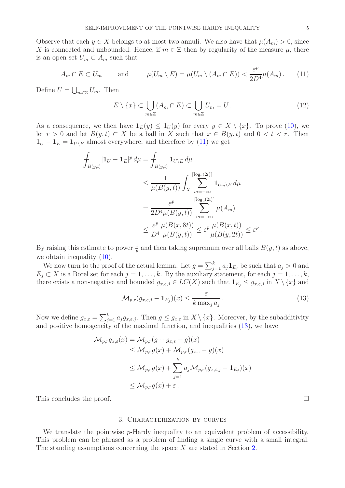Observe that each  $y \in X$  belongs to at most two annuli. We also have that  $\mu(A_m) > 0$ , since X is connected and unbounded. Hence, if  $m \in \mathbb{Z}$  then by regularity of the measure  $\mu$ , there is an open set  $U_m \subset A_m$  such that

<span id="page-4-1"></span>
$$
A_m \cap E \subset U_m \quad \text{and} \quad \mu(U_m \setminus E) = \mu(U_m \setminus (A_m \cap E)) < \frac{\varepsilon^p}{2D^4} \mu(A_m). \tag{11}
$$

Define  $U = \bigcup_{m \in \mathbb{Z}} U_m$ . Then

$$
E \setminus \{x\} \subset \bigcup_{m \in \mathbb{Z}} (A_m \cap E) \subset \bigcup_{m \in \mathbb{Z}} U_m = U. \tag{12}
$$

As a consequence, we then have  $1_E(y) \leq 1_U(y)$  for every  $y \in X \setminus \{x\}$ . To prove [\(10\)](#page-3-2), we let  $r > 0$  and let  $B(y, t) \subset X$  be a ball in X such that  $x \in B(y, t)$  and  $0 < t < r$ . Then  $1_U - 1_E = 1_{U \setminus E}$  almost everywhere, and therefore by [\(11\)](#page-4-1) we get

$$
\int_{B(y,t)} |\mathbf{1}_U - \mathbf{1}_E|^p d\mu = \int_{B(y,t)} \mathbf{1}_{U \setminus E} d\mu
$$
\n
$$
\leq \frac{1}{\mu(B(y,t))} \int_X \sum_{m=-\infty}^{\lceil \log_2(2t) \rceil} \mathbf{1}_{U_m \setminus E} d\mu
$$
\n
$$
= \frac{\varepsilon^p}{2D^4 \mu(B(y,t))} \sum_{m=-\infty}^{\lceil \log_2(2t) \rceil} \mu(A_m)
$$
\n
$$
\leq \frac{\varepsilon^p}{D^4} \frac{\mu(B(x,8t))}{\mu(B(y,t))} \leq \varepsilon^p \frac{\mu(B(x,t))}{\mu(B(y,2t))} \leq \varepsilon^p.
$$

By raising this estimate to power  $\frac{1}{p}$  and then taking supremum over all balls  $B(y, t)$  as above, we obtain inequality  $(10)$ .

We now turn to the proof of the actual lemma. Let  $g = \sum_{j=1}^{k} a_j \mathbf{1}_{E_j}$  be such that  $a_j > 0$  and  $E_j \subset X$  is a Borel set for each  $j = 1, \ldots, k$ . By the auxiliary statement, for each  $j = 1, \ldots, k$ , there exists a non-negative and bounded  $g_{x,\varepsilon,j} \in LC(X)$  such that  $\mathbf{1}_{E_j} \leq g_{x,\varepsilon,j}$  in  $X \setminus \{x\}$  and

<span id="page-4-2"></span>
$$
\mathcal{M}_{p,r}(g_{x,\varepsilon,j} - \mathbf{1}_{E_j})(x) \le \frac{\varepsilon}{k \max_j a_j}.
$$
\n(13)

Now we define  $g_{x,\varepsilon} = \sum_{j=1}^k a_j g_{x,\varepsilon,j}$ . Then  $g \leq g_{x,\varepsilon}$  in  $X \setminus \{x\}$ . Moreover, by the subadditivity and positive homogeneity of the maximal function, and inequalities [\(13\)](#page-4-2), we have

$$
\mathcal{M}_{p,r}g_{x,\varepsilon}(x) = \mathcal{M}_{p,r}(g + g_{x,\varepsilon} - g)(x)
$$
  
\n
$$
\leq \mathcal{M}_{p,r}g(x) + \mathcal{M}_{p,r}(g_{x,\varepsilon} - g)(x)
$$
  
\n
$$
\leq \mathcal{M}_{p,r}g(x) + \sum_{j=1}^{k} a_j \mathcal{M}_{p,r}(g_{x,\varepsilon,j} - \mathbf{1}_{E_j})(x)
$$
  
\n
$$
\leq \mathcal{M}_{p,r}g(x) + \varepsilon.
$$

<span id="page-4-0"></span>This concludes the proof.

# 3. Characterization by curves

We translate the pointwise p-Hardy inequality to an equivalent problem of accessibility. This problem can be phrased as a problem of finding a single curve with a small integral. The standing assumptions concerning the space  $X$  are stated in Section [2.](#page-1-0)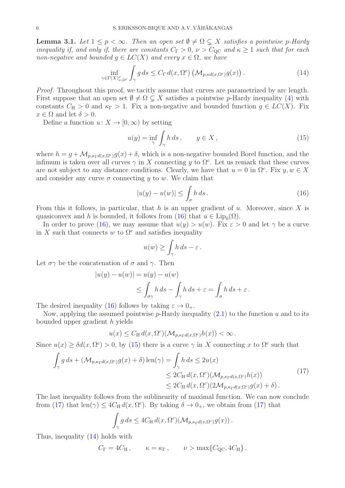<span id="page-5-4"></span>**Lemma 3.1.** Let  $1 \leq p \leq \infty$ . Then an open set  $\emptyset \neq \Omega \subseteq X$  satisfies a pointwise p-Hardy *inequality if, and only if, there are constants*  $C_{\Gamma} > 0$ ,  $\nu > C_{\text{QC}}$  *and*  $\kappa \geq 1$  *such that for each non-negative and bounded*  $g \in LC(X)$  *and every*  $x \in \Omega$ *, we have* 

<span id="page-5-3"></span>
$$
\inf_{\gamma \in \Gamma(X)_{x,\Omega^c}^{\nu}} \int_{\gamma} g \, ds \le C_{\Gamma} d(x, \Omega^c) \left( \mathcal{M}_{p, \kappa d(x, \Omega^c)} g(x) \right). \tag{14}
$$

*Proof.* Throughout this proof, we tacitly assume that curves are parametrized by arc length. First suppose that an open set  $\emptyset \neq \Omega \subset X$  satisfies a pointwise p-Hardy inequality [\(4\)](#page-2-0) with constants  $C_H > 0$  and  $\kappa_{\Gamma} > 1$ . Fix a non-negative and bounded function  $g \in LC(X)$ . Fix  $x \in \Omega$  and let  $\delta > 0$ .

Define a function  $u: X \to [0, \infty)$  by setting

<span id="page-5-1"></span>
$$
u(y) = \inf_{\gamma} \int_{\gamma} h \, ds \,, \qquad y \in X \,, \tag{15}
$$

where  $h = g + \mathcal{M}_{p,\kappa_{\Gamma}d(x,\Omega^c)}g(x) + \delta$ , which is a non-negative bounded Borel function, and the infimum is taken over all curves  $\gamma$  in X connecting y to  $\Omega^c$ . Let us remark that these curves are not subject to any distance conditions. Clearly, we have that  $u = 0$  in  $\Omega^c$ . Fix  $y, w \in X$ and consider any curve  $\sigma$  connecting y to w. We claim that

<span id="page-5-0"></span>
$$
|u(y) - u(w)| \le \int_{\sigma} h \, ds. \tag{16}
$$

From this it follows, in particular, that h is an upper gradient of  $u$ . Moreover, since X is quasiconvex and h is bounded, it follows from [\(16\)](#page-5-0) that  $u \in \text{Lip}_0(\Omega)$ .

In order to prove [\(16\)](#page-5-0), we may assume that  $u(y) > u(w)$ . Fix  $\varepsilon > 0$  and let  $\gamma$  be a curve in X such that connects w to  $\Omega^c$  and satisfies inequality

$$
u(w) \ge \int_{\gamma} h \, ds - \varepsilon \, .
$$

Let  $\sigma\gamma$  be the concatenation of  $\sigma$  and  $\gamma$ . Then

$$
|u(y) - u(w)| = u(y) - u(w)
$$
  
\n
$$
\leq \int_{\sigma\gamma} h \, ds - \int_{\gamma} h \, ds + \varepsilon = \int_{\sigma} h \, ds + \varepsilon.
$$

The desired inequality [\(16\)](#page-5-0) follows by taking  $\varepsilon \to 0_+$ .

Now, applying the assumed pointwise  $p$ -Hardy inequality  $(2.1)$  to the function u and to its bounded upper gradient h yields

$$
u(x) \leq C_{\rm H} d(x, \Omega^c) (\mathcal{M}_{p,\kappa_{\Gamma}d(x,\Omega^c)}h(x)) < \infty.
$$

Since  $u(x) \ge \delta d(x, \Omega^c) > 0$ , by [\(15\)](#page-5-1) there is a curve  $\gamma$  in X connecting x to  $\Omega^c$  such that

<span id="page-5-2"></span>
$$
\int_{\gamma} g ds + (\mathcal{M}_{p,\kappa_{\Gamma}d(x,\Omega^c)}g(x) + \delta) \operatorname{len}(\gamma) = \int_{\gamma} h ds \le 2u(x)
$$
\n
$$
\le 2C_{\mathrm{H}} d(x,\Omega^c)(\mathcal{M}_{p,\kappa_{\Gamma}d(x,\Omega^c)}h(x))
$$
\n
$$
\le 2C_{\mathrm{H}} d(x,\Omega^c)(2\mathcal{M}_{p,\kappa_{\Gamma}d(x,\Omega^c)}g(x) + \delta).
$$
\n(17)

The last inequality follows from the sublinearity of maximal function. We can now conclude from [\(17\)](#page-5-2) that  $\text{len}(\gamma) \leq 4C_H d(x, \Omega^c)$ . By taking  $\delta \to 0_+$ , we obtain from (17) that

$$
\int_{\gamma} g ds \leq 4C_{\rm H} d(x, \Omega^c) (\mathcal{M}_{p,\kappa_{\Gamma}d(x, \Omega^c)}g(x)).
$$

Thus, inequality [\(14\)](#page-5-3) holds with

$$
C_{\Gamma} = 4C_{\text{H}} , \qquad \kappa = \kappa_{\Gamma} , \qquad \nu > \max \{ C_{\text{QC}}, 4C_{\text{H}} \} .
$$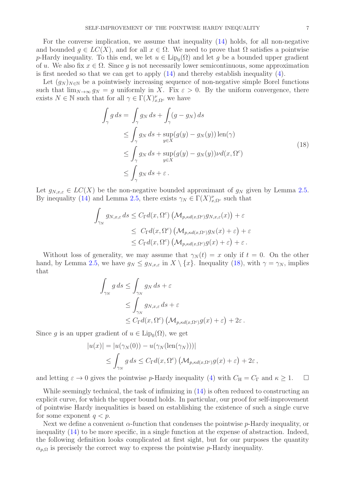For the converse implication, we assume that inequality [\(14\)](#page-5-3) holds, for all non-negative and bounded  $q \in LC(X)$ , and for all  $x \in \Omega$ . We need to prove that  $\Omega$  satisfies a pointwise p-Hardy inequality. To this end, we let  $u \in \text{Lip}_0(\Omega)$  and let g be a bounded upper gradient of u. We also fix  $x \in \Omega$ . Since g is not necessarily lower semicontinuous, some approximation is first needed so that we can get to apply  $(14)$  and thereby establish inequality  $(4)$ .

Let  $(g_N)_{N\in\mathbb{N}}$  be a pointwisely increasing sequence of non-negative simple Borel functions such that  $\lim_{N\to\infty} g_N = g$  uniformly in X. Fix  $\varepsilon > 0$ . By the uniform convergence, there exists  $N \in \mathbb{N}$  such that for all  $\gamma \in \Gamma(X)_{x,\Omega^c}^{\nu}$  we have

$$
\int_{\gamma} g ds = \int_{\gamma} g_N ds + \int_{\gamma} (g - g_N) ds
$$
\n
$$
\leq \int_{\gamma} g_N ds + \sup_{y \in X} (g(y) - g_N(y)) \operatorname{len}(\gamma)
$$
\n
$$
\leq \int_{\gamma} g_N ds + \sup_{y \in X} (g(y) - g_N(y)) \nu d(x, \Omega^c)
$$
\n
$$
\leq \int_{\gamma} g_N ds + \varepsilon.
$$
\n(18)

<span id="page-6-0"></span>Let  $g_{N,x,\varepsilon} \in LC(X)$  be the non-negative bounded approximant of  $g_N$  given by Lemma [2.5.](#page-3-3) By inequality [\(14\)](#page-5-3) and Lemma [2.5,](#page-3-3) there exists  $\gamma_N \in \Gamma(X)_{x,\Omega^c}^{\nu}$  such that

$$
\int_{\gamma_N} g_{N,x,\varepsilon} ds \leq C_{\Gamma} d(x, \Omega^c) \left( \mathcal{M}_{p, \kappa d(x, \Omega^c)} g_{N,x,\varepsilon}(x) \right) + \varepsilon
$$
  

$$
\leq C_{\Gamma} d(x, \Omega^c) \left( \mathcal{M}_{p, \kappa d(x, \Omega^c)} g_N(x) + \varepsilon \right) + \varepsilon
$$
  

$$
\leq C_{\Gamma} d(x, \Omega^c) \left( \mathcal{M}_{p, \kappa d(x, \Omega^c)} g(x) + \varepsilon \right) + \varepsilon.
$$

Without loss of generality, we may assume that  $\gamma_N(t) = x$  only if  $t = 0$ . On the other hand, by Lemma [2.5,](#page-3-3) we have  $g_N \leq g_{N,x,\varepsilon}$  in  $X \setminus \{x\}$ . Inequality [\(18\)](#page-6-0), with  $\gamma = \gamma_N$ , implies that

$$
\int_{\gamma_N} g ds \le \int_{\gamma_N} g_N ds + \varepsilon
$$
  
\n
$$
\le \int_{\gamma_N} g_{N,x,\varepsilon} ds + \varepsilon
$$
  
\n
$$
\le C_{\Gamma} d(x, \Omega^c) \left( \mathcal{M}_{p,\kappa d(x,\Omega^c)} g(x) + \varepsilon \right) + 2\varepsilon.
$$

Since g is an upper gradient of  $u \in \text{Lip}_0(\Omega)$ , we get

$$
|u(x)| = |u(\gamma_N(0)) - u(\gamma_N(\text{len}(\gamma_N)))|
$$
  
\n
$$
\leq \int_{\gamma_N} g ds \leq C_{\Gamma} d(x, \Omega^c) \left(\mathcal{M}_{p, \kappa d(x, \Omega^c)} g(x) + \varepsilon\right) + 2\varepsilon,
$$

and letting  $\varepsilon \to 0$  gives the pointwise p-Hardy inequality [\(4\)](#page-2-0) with  $C_{\rm H} = C_{\rm \Gamma}$  and  $\kappa \geq 1$ .  $\Box$ 

While seemingly technical, the task of infimizing in  $(14)$  is often reduced to constructing an explicit curve, for which the upper bound holds. In particular, our proof for self-improvement of pointwise Hardy inequalities is based on establishing the existence of such a single curve for some exponent  $q < p$ .

Next we define a convenient  $\alpha$ -function that condenses the pointwise p-Hardy inequality, or inequality [\(14\)](#page-5-3) to be more specific, in a single function at the expense of abstraction. Indeed, the following definition looks complicated at first sight, but for our purposes the quantity  $\alpha_{p,\Omega}$  is precisely the correct way to express the pointwise p-Hardy inequality.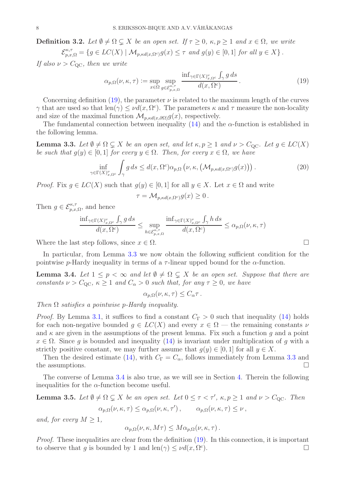**Definition 3.2.** Let  $\emptyset \neq \Omega \subseteq X$  be an open set. If  $\tau > 0$ ,  $\kappa, p > 1$  and  $x \in \Omega$ , we write  $\mathcal{E}_{p,x,\Omega}^{\kappa,\tau} = \{g \in LC(X) \mid \mathcal{M}_{p, \kappa d(x,\Omega^c)}g(x) \leq \tau \text{ and } g(y) \in [0,1] \text{ for all } y \in X\}.$ 

*If also*  $\nu > C_{\text{OC}}$ *, then we write* 

<span id="page-7-0"></span>
$$
\alpha_{p,\Omega}(\nu,\kappa,\tau) := \sup_{x \in \Omega} \sup_{g \in \mathcal{E}_{p,x,\Omega}^{\kappa,\tau}} \frac{\inf_{\gamma \in \Gamma(X)_{x,\Omega^c}^{\nu}} \int_{\gamma} g ds}{d(x,\Omega^c)}.
$$
\n(19)

Concerning definition [\(19\)](#page-7-0), the parameter  $\nu$  is related to the maximum length of the curves  $\gamma$  that are used so that  $len(\gamma) \leq \nu d(x, \Omega^c)$ . The parameters  $\kappa$  and  $\tau$  measure the non-locality and size of the maximal function  $\mathcal{M}_{p, \kappa d(x, \partial \Omega)} g(x)$ , respectively.

The fundamental connection between inequality  $(14)$  and the  $\alpha$ -function is established in the following lemma.

<span id="page-7-1"></span>**Lemma 3.3.** Let  $\emptyset \neq \Omega \subsetneq X$  be an open set, and let  $\kappa, p \geq 1$  and  $\nu > C_{\text{QC}}$ . Let  $g \in LC(X)$ *be such that*  $g(y) \in [0, 1]$  *for every*  $y \in \Omega$ *. Then, for every*  $x \in \Omega$ *, we have* 

$$
\inf_{\gamma \in \Gamma(X)_{x,\Omega^c}^{\nu}} \int_{\gamma} g \, ds \le d(x, \Omega^c) \alpha_{p,\Omega} \left( \nu, \kappa, \left( \mathcal{M}_{p, \kappa d(x, \Omega^c)} g(x) \right) \right). \tag{20}
$$

*Proof.* Fix  $g \in LC(X)$  such that  $g(y) \in [0,1]$  for all  $y \in X$ . Let  $x \in \Omega$  and write

$$
\tau = \mathcal{M}_{p, \kappa d(x, \Omega^c)} g(x) \ge 0.
$$

Then  $g \in \mathcal{E}_{p,x,\Omega}^{\kappa,\tau}$ , and hence

$$
\frac{\inf_{\gamma \in \Gamma(X)_{x,\Omega^c}^\nu} \int_\gamma g \, ds}{d(x, \Omega^c)} \leq \sup_{h \in \mathcal{E}_{p,x,\Omega}^{\kappa,\tau}} \frac{\inf_{\gamma \in \Gamma(X)_{x,\Omega^c}^\nu} \int_\gamma h \, ds}{d(x, \Omega^c)} \leq \alpha_{p,\Omega}(\nu,\kappa,\tau)
$$

Where the last step follows, since  $x \in \Omega$ .

In particular, from Lemma [3.3](#page-7-1) we now obtain the following sufficient condition for the pointwise p-Hardy inequality in terms of a  $\tau$ -linear upped bound for the  $\alpha$ -function.

<span id="page-7-2"></span>**Lemma 3.4.** Let  $1 \leq p < \infty$  and let  $\emptyset \neq \Omega \subseteq X$  be an open set. Suppose that there are *constants*  $\nu > C_{\text{QC}}$ ,  $\kappa \geq 1$  *and*  $C_{\alpha} > 0$  *such that, for any*  $\tau \geq 0$ *, we have* 

 $\alpha_{n,\Omega}(\nu,\kappa,\tau) \leq C_{\alpha}\tau$ .

*Then* Ω *satisfies a pointwise* p*-Hardy inequality.*

*Proof.* By Lemma [3.1,](#page-5-4) it suffices to find a constant  $C_{\Gamma} > 0$  such that inequality [\(14\)](#page-5-3) holds for each non-negative bounded  $q \in LC(X)$  and every  $x \in \Omega$  — the remaining constants  $\nu$ and  $\kappa$  are given in the assumptions of the present lemma. Fix such a function q and a point  $x \in \Omega$ . Since q is bounded and inequality [\(14\)](#page-5-3) is invariant under multiplication of q with a strictly positive constant, we may further assume that  $g(y) \in [0, 1]$  for all  $y \in X$ .

Then the desired estimate [\(14\)](#page-5-3), with  $C_{\Gamma} = C_{\alpha}$ , follows immediately from Lemma [3.3](#page-7-1) and the assumptions.  $\Box$ 

The converse of Lemma [3.4](#page-7-2) is also true, as we will see in Section [4.](#page-8-0) Therein the following inequalities for the  $\alpha$ -function become useful.

<span id="page-7-3"></span>**Lemma 3.5.** Let  $\emptyset \neq \Omega \subsetneq X$  be an open set. Let  $0 \leq \tau < \tau'$ ,  $\kappa, p \geq 1$  and  $\nu > C_{\rm QC}$ . Then  $\alpha_{p,\Omega}(\nu,\kappa,\tau) \leq \alpha_{p,\Omega}(\nu,\kappa,\tau')$ ,  $\alpha_{p,\Omega}(\nu,\kappa,\tau) \leq \nu$ ,

*and, for every*  $M \geq 1$ ,

$$
\alpha_{p,\Omega}(\nu,\kappa,M\tau) \leq M\alpha_{p,\Omega}(\nu,\kappa,\tau).
$$

*Proof.* These inequalities are clear from the definition  $(19)$ . In this connection, it is important to observe that g is bounded by 1 and  $len(\gamma) \leq \nu d(x, \Omega^c)$  $\Box$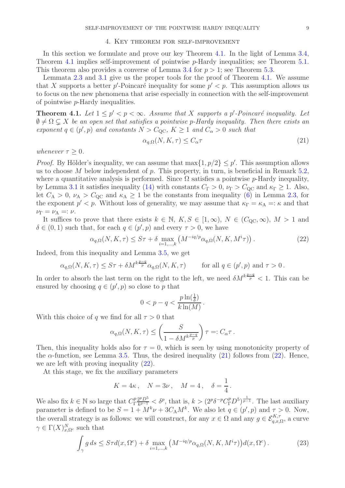# 4. Key theorem for self-improvement

<span id="page-8-0"></span>In this section we formulate and prove our key Theorem [4.1.](#page-8-1) In the light of Lemma [3.4,](#page-7-2) Theorem [4.1](#page-8-1) implies self-improvement of pointwise p-Hardy inequalities; see Theorem [5.1.](#page-12-0) This theorem also provides a converse of Lemma [3.4](#page-7-2) for  $p > 1$ ; see Theorem [5.3.](#page-12-3)

Lemmata [2.3](#page-2-2) and [3.1](#page-5-4) give us the proper tools for the proof of Theorem [4.1.](#page-8-1) We assume that X supports a better  $p'$ -Poincaré inequality for some  $p' < p$ . This assumption allows us to focus on the new phenomena that arise especially in connection with the self-improvement of pointwise p-Hardy inequalities.

<span id="page-8-1"></span>**Theorem 4.1.** Let  $1 \leq p' < p < \infty$ . Assume that X supports a p'-Poincaré inequality. Let  $\emptyset \neq \Omega \subsetneq X$  *be an open set that satisfies a pointwise p-Hardy inequality. Then there exists an exponent*  $q \in (p', p)$  *and constants*  $N > C_{\rm QC}$ ,  $K \ge 1$  *and*  $C_{\alpha} > 0$  *such that* 

<span id="page-8-2"></span>
$$
\alpha_{q,\Omega}(N,K,\tau) \le C_{\alpha}\tau\tag{21}
$$

*whenever*  $\tau \geq 0$ *.* 

*Proof.* By Hölder's inequality, we can assume that  $\max\{1, p/2\} \leq p'$ . This assumption allows us to choose M below independent of  $p$ . This property, in turn, is beneficial in Remark [5.2,](#page-12-1) where a quantitative analysis is performed. Since  $\Omega$  satisfies a pointwise p-Hardy inequality, by Lemma [3.1](#page-5-4) it satisfies inequality [\(14\)](#page-5-3) with constants  $C_{\Gamma} > 0$ ,  $\nu_{\Gamma} > C_{\text{QC}}$  and  $\kappa_{\Gamma} \geq 1$ . Also, let  $C_A > 0$ ,  $\nu_A > C_{\rm QC}$  and  $\kappa_A \ge 1$  be the constants from inequality [\(6\)](#page-2-3) in Lemma [2.3,](#page-2-2) for the exponent  $p' < p$ . Without loss of generality, we may assume that  $\kappa_{\Gamma} = \kappa_{\rm A} =: \kappa$  and that  $\nu_{\Gamma} = \nu_{\rm A} =: \nu.$ 

It suffices to prove that there exists  $k \in \mathbb{N}$ ,  $K, S \in [1,\infty)$ ,  $N \in (C_{\text{OC}}, \infty)$ ,  $M > 1$  and  $\delta \in (0,1)$  such that, for each  $q \in (p', p)$  and every  $\tau > 0$ , we have

<span id="page-8-3"></span>
$$
\alpha_{q,\Omega}(N,K,\tau) \leq S\tau + \delta \max_{i=1,\dots,k} \left( M^{-iq/p} \alpha_{q,\Omega}(N,K,M^i\tau) \right). \tag{22}
$$

Indeed, from this inequality and Lemma [3.5,](#page-7-3) we get

 $\alpha_{q,\Omega}(N,K,\tau) \leq S\tau + \delta M^{k\frac{p-q}{p}} \alpha_{q,\Omega}(N,K,\tau)$  for all  $q \in (p',p)$  and  $\tau > 0$ .

In order to absorb the last term on the right to the left, we need  $\delta M^{k\frac{p-q}{p}} < 1$ . This can be ensured by choosing  $q \in (p', p)$  so close to p that

$$
0 < p - q < \frac{p \ln(\frac{1}{\delta})}{k \ln(M)}.
$$

With this choice of q we find for all  $\tau > 0$  that

$$
\alpha_{q,\Omega}(N,K,\tau) \le \left(\frac{S}{1-\delta M^{k\frac{p-q}{p}}}\right)\tau =: C_{\alpha}\tau.
$$

Then, this inequality holds also for  $\tau = 0$ , which is seen by using monotonicity property of the  $\alpha$ -function, see Lemma [3.5.](#page-7-3) Thus, the desired inequality [\(21\)](#page-8-2) follows from [\(22\)](#page-8-3). Hence, we are left with proving inequality [\(22\)](#page-8-3).

At this stage, we fix the auxiliary parameters

$$
K = 4\kappa
$$
,  $N = 3\nu$ ,  $M = 4$ ,  $\delta = \frac{1}{4}$ .

We also fix  $k \in \mathbb{N}$  so large that  $C_{\Gamma}^{p}$ Γ  $2^pD^5$  $\frac{2^p D^5}{k^{p-1}} < \delta^p$ , that is,  $k > (2^p \delta^{-p} C_{\Gamma}^p D^5)^{\frac{1}{p-1}}$ . The last auxiliary parameter is defined to be  $S = 1 + M^k \nu + 3C_A M^k$ . We also let  $q \in (p', p)$  and  $\tau > 0$ . Now, the overall strategy is as follows: we will construct, for any  $x \in \Omega$  and any  $g \in \mathcal{E}_{q,x,\Omega}^{K,\tau}$ , a curve  $\gamma \in \Gamma(X)_{x,\Omega^c}^N$  such that

<span id="page-8-4"></span>
$$
\int_{\gamma} g ds \leq S\tau d(x, \Omega^c) + \delta \max_{i=1,\dots,k} \left( M^{-iq/p} \alpha_{q,\Omega}(N, K, M^i\tau) \right) d(x, \Omega^c).
$$
 (23)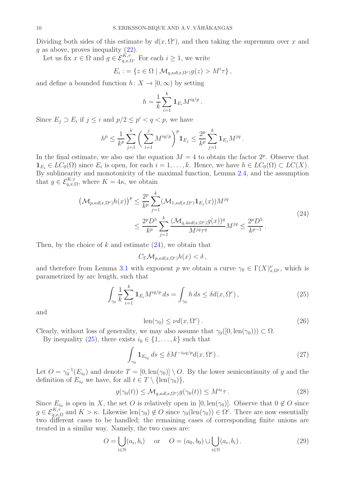Dividing both sides of this estimate by  $d(x, \Omega^c)$ , and then taking the supremum over x and  $g$  as above, proves inequality  $(22)$ .

Let us fix  $x \in \Omega$  and  $g \in \mathcal{E}_{q,x,\Omega}^{K,\tau}$ . For each  $i \geq 1$ , we write

$$
E_i := \{ z \in \Omega \mid \mathcal{M}_{q, \kappa d(x, \Omega^c)} g(z) > M^i \tau \},
$$

and define a bounded function  $h: X \to [0, \infty)$  by setting

$$
h=\frac{1}{k}\sum_{i=1}^k \mathbf{1}_{E_i}M^{iq/p}.
$$

Since  $E_j \supset E_i$  if  $j \leq i$  and  $p/2 \leq p' < q < p$ , we have

$$
h^{p} \leq \frac{1}{k^{p}} \sum_{j=1}^{k} \left( \sum_{i=1}^{j} M^{iq/p} \right)^{p} \mathbf{1}_{E_{j}} \leq \frac{2^{p}}{k^{p}} \sum_{j=1}^{k} \mathbf{1}_{E_{j}} M^{jq}.
$$

In the final estimate, we also use the equation  $M = 4$  to obtain the factor  $2^p$ . Observe that  $\mathbf{1}_{E_i} \in LC_0(\Omega)$  since  $E_i$  is open, for each  $i = 1, \ldots, k$ . Hence, we have  $h \in LC_0(\Omega) \subset LC(X)$ . By sublinearity and monotonicity of the maximal function, Lemma [2.4,](#page-2-4) and the assumption that  $g \in \mathcal{E}_{q,x,\Omega}^{K,\tau}$ , where  $K = 4\kappa$ , we obtain

$$
\left(\mathcal{M}_{p, \kappa d(x, \Omega^c)} h(x)\right)^p \le \frac{2^p}{k^p} \sum_{j=1}^k \left(\mathcal{M}_{1, \kappa d(x, \Omega^c)} \mathbf{1}_{E_j}(x)\right) M^{jq} \\
\le \frac{2^p D^5}{k^p} \sum_{j=1}^k \frac{(\mathcal{M}_{q, 4\kappa d(x, \Omega^c)} g(x))^q}{M^{jq} \tau^q} M^{jq} \le \frac{2^p D^5}{k^{p-1}}.
$$
\n(24)

<span id="page-9-0"></span>Then, by the choice of  $k$  and estimate  $(24)$ , we obtain that

 $C_{\Gamma} \mathcal{M}_{p, \kappa d(x, \Omega^c)} h(x) < \delta$ ,

and therefore from Lemma [3.1](#page-5-4) with exponent p we obtain a curve  $\gamma_0 \in \Gamma(X)_{x,\Omega^c}^{\nu}$ , which is parametrized by arc length, such that

<span id="page-9-1"></span>
$$
\int_{\gamma_0} \frac{1}{k} \sum_{i=1}^k \mathbf{1}_{E_i} M^{iq/p} ds = \int_{\gamma_0} h ds \le \delta d(x, \Omega^c), \tag{25}
$$

and

<span id="page-9-3"></span>
$$
len(\gamma_0) \le \nu d(x, \Omega^c). \tag{26}
$$

Clearly, without loss of generality, we may also assume that  $\gamma_0([0, \text{len}(\gamma_0))) \subset \Omega$ .

By inequality [\(25\)](#page-9-1), there exists  $i_0 \in \{1, \ldots, k\}$  such that

<span id="page-9-2"></span>
$$
\int_{\gamma_0} \mathbf{1}_{E_{i_0}} ds \le \delta M^{-i_0 q/p} d(x, \Omega^c).
$$
\n(27)

Let  $O = \gamma_0^{-1}(E_{i_0})$  and denote  $T = [0, \text{len}(\gamma_0)] \setminus O$ . By the lower semicontinuity of g and the definition of  $E_{i_0}$  we have, for all  $t \in T \setminus {\text{len}(\gamma_0)},$ 

<span id="page-9-4"></span>
$$
g(\gamma_0(t)) \le \mathcal{M}_{q, \kappa d(x, \Omega^c)} g(\gamma_0(t)) \le M^{i_0} \tau.
$$
 (28)

Since  $E_{i_0}$  is open in X, the set O is relatively open in  $[0, \text{len}(\gamma_0)]$ . Observe that  $0 \notin O$  since  $g \in \mathcal{E}_{q,x,\Omega}^{K,\tau}$  and  $K > \kappa$ . Likewise len $(\gamma_0) \notin O$  since  $\gamma_0(\text{len}(\gamma_0)) \in \Omega^c$ . There are now essentially two different cases to be handled; the remaining cases of corresponding finite unions are treated in a similar way. Namely, the two cases are:

<span id="page-9-5"></span>
$$
O = \bigcup_{i \in \mathbb{N}} (a_i, b_i) \quad \text{or} \quad O = (a_0, b_0) \cup \bigcup_{i \in \mathbb{N}} (a_i, b_i).
$$
 (29)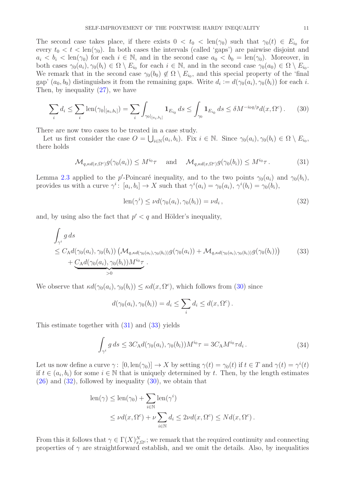The second case takes place, if there exists  $0 < t_0 < \text{len}(\gamma_0)$  such that  $\gamma_0(t) \in E_{i_0}$  for every  $t_0 < t < \text{len}(\gamma_0)$ . In both cases the intervals (called 'gaps') are pairwise disjoint and  $a_i < b_i < \text{len}(\gamma_0)$  for each  $i \in \mathbb{N}$ , and in the second case  $a_0 < b_0 = \text{len}(\gamma_0)$ . Moreover, in both cases  $\gamma_0(a_i), \gamma_0(b_i) \in \Omega \setminus E_{i_0}$  for each  $i \in \mathbb{N}$ , and in the second case  $\gamma_0(a_0) \in \Omega \setminus E_{i_0}$ . We remark that in the second case  $\gamma_0(b_0) \notin \Omega \setminus E_{i_0}$ , and this special property of the 'final gap'  $(a_0, b_0)$  distinguishes it from the remaining gaps. Write  $d_i := d(\gamma_0(a_i), \gamma_0(b_i))$  for each i. Then, by inequality [\(27\)](#page-9-2), we have

<span id="page-10-0"></span>
$$
\sum_{i} d_i \le \sum_{i} \text{len}(\gamma_0 |_{[a_i, b_i]}) = \sum_{i} \int_{\gamma_0 |_{[a_i, b_i]}} \mathbf{1}_{E_{i_0}} ds \le \int_{\gamma_0} \mathbf{1}_{E_{i_0}} ds \le \delta M^{-i_0 q/p} d(x, \Omega^c).
$$
 (30)

There are now two cases to be treated in a case study.

Let us first consider the case  $O = \bigcup_{i \in \mathbb{N}} (a_i, b_i)$ . Fix  $i \in \mathbb{N}$ . Since  $\gamma_0(a_i), \gamma_0(b_i) \in \Omega \setminus E_{i_0}$ , there holds

<span id="page-10-1"></span>
$$
\mathcal{M}_{q, \kappa d(x, \Omega^c)} g(\gamma_0(a_i)) \leq M^{i_0} \tau \quad \text{and} \quad \mathcal{M}_{q, \kappa d(x, \Omega^c)} g(\gamma_0(b_i)) \leq M^{i_0} \tau. \tag{31}
$$

Lemma [2.3](#page-2-2) applied to the p'-Poincaré inequality, and to the two points  $\gamma_0(a_i)$  and  $\gamma_0(b_i)$ , provides us with a curve  $\gamma^i$ :  $[a_i, b_i] \to X$  such that  $\gamma^i(a_i) = \gamma_0(a_i), \gamma^i(b_i) = \gamma_0(b_i),$ 

<span id="page-10-3"></span>
$$
len(\gamma^i) \le \nu d(\gamma_0(a_i), \gamma_0(b_i)) = \nu d_i, \qquad (32)
$$

and, by using also the fact that  $p' < q$  and Hölder's inequality,

<span id="page-10-2"></span>
$$
\int_{\gamma^i} g ds
$$
\n
$$
\leq C_A d(\gamma_0(a_i), \gamma_0(b_i)) \left( \mathcal{M}_{q, \kappa d(\gamma_0(a_i), \gamma_0(b_i))} g(\gamma_0(a_i)) + \mathcal{M}_{q, \kappa d(\gamma_0(a_i), \gamma_0(b_i))} g(\gamma_0(b_i)) \right)
$$
\n
$$
+ C_A d(\gamma_0(a_i), \gamma_0(b_i)) M^{i_0} \tau.
$$
\n(33)

We observe that  $\kappa d(\gamma_0(a_i), \gamma_0(b_i)) \leq \kappa d(x, \Omega^c)$ , which follows from [\(30\)](#page-10-0) since

$$
d(\gamma_0(a_i), \gamma_0(b_i)) = d_i \le \sum_i d_i \le d(x, \Omega^c).
$$

This estimate together with [\(31\)](#page-10-1) and [\(33\)](#page-10-2) yields

$$
\int_{\gamma^i} g \, ds \le 3C_{\rm A} d(\gamma_0(a_i), \gamma_0(b_i)) M^{i_0} \tau = 3C_{\rm A} M^{i_0} \tau d_i \,. \tag{34}
$$

<span id="page-10-4"></span>Let us now define a curve  $\gamma: [0, \text{len}(\gamma_0)] \to X$  by setting  $\gamma(t) = \gamma_0(t)$  if  $t \in T$  and  $\gamma(t) = \gamma^i(t)$ if  $t \in (a_i, b_i)$  for some  $i \in \mathbb{N}$  that is uniquely determined by t. Then, by the length estimates  $(26)$  and  $(32)$ , followed by inequality  $(30)$ , we obtain that

$$
\begin{aligned} \operatorname{len}(\gamma) &\leq \operatorname{len}(\gamma_0) + \sum_{i \in \mathbb{N}} \operatorname{len}(\gamma^i) \\ &\leq \nu d(x, \Omega^c) + \nu \sum_{i \in \mathbb{N}} d_i \leq 2\nu d(x, \Omega^c) \leq N d(x, \Omega^c) \,. \end{aligned}
$$

From this it follows that  $\gamma \in \Gamma(X)_{x,\Omega^c}^N$ ; we remark that the required continuity and connecting properties of  $\gamma$  are straightforward establish, and we omit the details. Also, by inequalities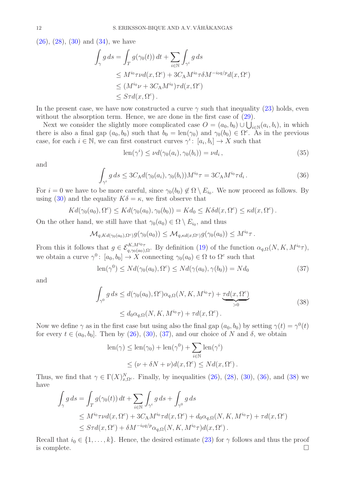$(26)$ ,  $(28)$ ,  $(30)$  and  $(34)$ , we have

$$
\int_{\gamma} g ds = \int_{T} g(\gamma_{0}(t)) dt + \sum_{i \in \mathbb{N}} \int_{\gamma^{i}} g ds
$$
\n
$$
\leq M^{i_{0}} \tau \nu d(x, \Omega^{c}) + 3C_{A} M^{i_{0}} \tau \delta M^{-i_{0}q/p} d(x, \Omega^{c})
$$
\n
$$
\leq (M^{i_{0}} \nu + 3C_{A} M^{i_{0}}) \tau d(x, \Omega^{c})
$$
\n
$$
\leq S \tau d(x, \Omega^{c}).
$$

In the present case, we have now constructed a curve  $\gamma$  such that inequality [\(23\)](#page-8-4) holds, even without the absorption term. Hence, we are done in the first case of  $(29)$ .

Next we consider the slightly more complicated case  $O = (a_0, b_0) \cup \bigcup_{i \in \mathbb{N}} (a_i, b_i)$ , in which there is also a final gap  $(a_0, b_0)$  such that  $b_0 = \text{len}(\gamma_0)$  and  $\gamma_0(b_0) \in \Omega^c$ . As in the previous case, for each  $i \in \mathbb{N}$ , we can first construct curves  $\gamma^i$ :  $[a_i, b_i] \to X$  such that

$$
len(\gamma^i) \le \nu d(\gamma_0(a_i), \gamma_0(b_i)) = \nu d_i, \qquad (35)
$$

and

<span id="page-11-1"></span>
$$
\int_{\gamma^i} g \, ds \le 3C_{\rm A} d(\gamma_0(a_i), \gamma_0(b_i)) M^{i_0} \tau = 3C_{\rm A} M^{i_0} \tau d_i \,. \tag{36}
$$

For  $i = 0$  we have to be more careful, since  $\gamma_0(b_0) \notin \Omega \setminus E_{i_0}$ . We now proceed as follows. By using [\(30\)](#page-10-0) and the equality  $K\delta = \kappa$ , we first observe that

$$
Kd(\gamma_0(a_0), \Omega^c) \leq Kd(\gamma_0(a_0), \gamma_0(b_0)) = Kd_0 \leq K\delta d(x, \Omega^c) \leq \kappa d(x, \Omega^c).
$$

On the other hand, we still have that  $\gamma_0(a_0) \in \Omega \setminus E_{i_0}$ , and thus

$$
\mathcal{M}_{q,Kd(\gamma_0(a_0),\Omega^c)}g(\gamma_0(a_0)) \leq \mathcal{M}_{q,\kappa d(x,\Omega^c)}g(\gamma_0(a_0)) \leq M^{i_0}\tau.
$$

From this it follows that  $g \in \mathcal{E}_{q,\gamma_0(a_0),\Omega}^{K,M^{i_0}\tau}$ . By definition [\(19\)](#page-7-0) of the function  $\alpha_{q,\Omega}(N,K,M^{i_0}\tau)$ , we obtain a curve  $\gamma^0$ :  $[a_0, b_0] \to X$  connecting  $\gamma_0(a_0) \in \Omega$  to  $\Omega^c$  such that

<span id="page-11-0"></span>
$$
\operatorname{len}(\gamma^0) \le N d(\gamma_0(a_0), \Omega^c) \le N d(\gamma(a_0), \gamma(b_0)) = N d_0 \tag{37}
$$

<span id="page-11-2"></span>and

$$
\int_{\gamma^0} g ds \le d(\gamma_0(a_0), \Omega^c) \alpha_{q,\Omega}(N, K, M^{i_0}\tau) + \underbrace{\tau d(x, \Omega^c)}_{>0}
$$
\n
$$
\le d_0 \alpha_{q,\Omega}(N, K, M^{i_0}\tau) + \tau d(x, \Omega^c).
$$
\n(38)

Now we define  $\gamma$  as in the first case but using also the final gap  $(a_0, b_0)$  by setting  $\gamma(t) = \gamma^0(t)$ for every  $t \in (a_0, b_0]$ . Then by [\(26\)](#page-9-3), [\(30\)](#page-10-0), [\(37\)](#page-11-0), and our choice of N and  $\delta$ , we obtain

len(
$$
\gamma
$$
)  $\leq$  len( $\gamma_0$ ) + len( $\gamma^0$ ) +  $\sum_{i \in \mathbb{N}}$ len( $\gamma^i$ )  
 $\leq (\nu + \delta N + \nu) d(x, \Omega^c) \leq N d(x, \Omega^c)$ .

Thus, we find that  $\gamma \in \Gamma(X)_{x,\Omega^c}^N$ . Finally, by inequalities [\(26\)](#page-9-3), [\(28\)](#page-9-4), [\(30\)](#page-10-0), [\(36\)](#page-11-1), and [\(38\)](#page-11-2) we have

$$
\int_{\gamma} g ds = \int_{T} g(\gamma_{0}(t)) dt + \sum_{i \in \mathbb{N}} \int_{\gamma^{i}} g ds + \int_{\gamma^{0}} g ds
$$
\n
$$
\leq M^{i_{0}} \tau \nu d(x, \Omega^{c}) + 3C_{A} M^{i_{0}} \tau d(x, \Omega^{c}) + d_{0} \alpha_{q,\Omega}(N, K, M^{i_{0}} \tau) + \tau d(x, \Omega^{c})
$$
\n
$$
\leq S \tau d(x, \Omega^{c}) + \delta M^{-i_{0}q/p} \alpha_{q,\Omega}(N, K, M^{i_{0}} \tau) d(x, \Omega^{c}).
$$

Recall that  $i_0 \in \{1, \ldots, k\}$ . Hence, the desired estimate [\(23\)](#page-8-4) for  $\gamma$  follows and thus the proof is complete.  $\Box$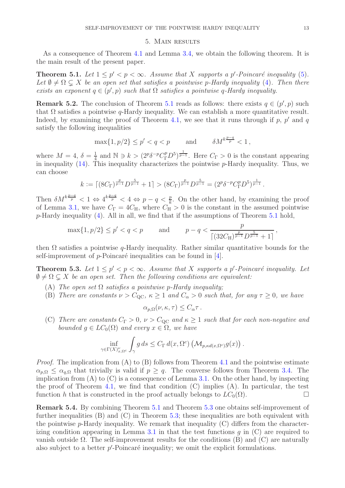# 5. Main results

<span id="page-12-2"></span>As a consequence of Theorem [4.1](#page-8-1) and Lemma [3.4,](#page-7-2) we obtain the following theorem. It is the main result of the present paper.

<span id="page-12-0"></span>**Theorem 5.1.** Let  $1 \leq p' < p < \infty$ . Assume that X supports a p'-Poincaré inequality [\(5\)](#page-2-5). Let  $\emptyset \neq \Omega \subseteq X$  be an open set that satisfies a pointwise p-Hardy inequality [\(4\)](#page-2-0). Then there *exists an exponent*  $q \in (p', p)$  *such that*  $\Omega$  *satisfies a pointwise* q-Hardy *inequality.* 

<span id="page-12-1"></span>**Remark 5.2.** The conclusion of Theorem [5.1](#page-12-0) reads as follows: there exists  $q \in (p', p)$  such that  $\Omega$  satisfies a pointwise q-Hardy inequality. We can establish a more quantitative result. Indeed, by examining the proof of Theorem [4.1,](#page-8-1) we see that it runs through if  $p$ ,  $p'$  and  $q$ satisfy the following inequalities

$$
\max\{1, p/2\} \le p' < q < p \qquad \text{and} \qquad \delta M^{k\frac{p-q}{p}} < 1 \,,
$$

where  $M=4, \delta=\frac{1}{4}$  $\frac{1}{4}$  and  $\mathbb{N} \ni k > (2^p \delta^{-p} C_{\Gamma}^p D^5)^{\frac{1}{p-1}}$ . Here  $C_{\Gamma} > 0$  is the constant appearing in inequality  $(14)$ . This inequality characterizes the pointwise p-Hardy inequality. Thus, we can choose

$$
k := \left[ (8C_{\Gamma})^{\frac{p}{p-1}} D^{\frac{5}{p-1}} + 1 \right] > (8C_{\Gamma})^{\frac{p}{p-1}} D^{\frac{5}{p-1}} = (2^p \delta^{-p} C_{\Gamma}^p D^5)^{\frac{1}{p-1}}.
$$

Then  $\delta M^{k\frac{p-q}{p}} < 1 \Leftrightarrow 4^{k\frac{p-q}{p}} < 4 \Leftrightarrow p-q < \frac{p}{k}$ . On the other hand, by examining the proof of Lemma [3.1,](#page-5-4) we have  $C_{\Gamma} = 4C_{\text{H}}$ , where  $C_{\text{H}}^{\sim} > 0$  is the constant in the assumed pointwise  $p$ -Hardy inequality [\(4\)](#page-2-0). All in all, we find that if the assumptions of Theorem [5.1](#page-12-0) hold,

$$
\max\{1, p/2\} \le p' < q < p \qquad \text{and} \qquad p - q < \frac{p}{\left[\left(32C_H\right)^{\frac{p}{p-1}} D^{\frac{5}{p-1}} + 1\right]},
$$

then  $\Omega$  satisfies a pointwise q-Hardy inequality. Rather similar quantitative bounds for the self-improvement of  $p$ -Poincaré inequalities can be found in [\[4\]](#page-13-12).

<span id="page-12-3"></span>**Theorem 5.3.** Let  $1 \leq p' < p < \infty$ . Assume that X supports a p'-Poincaré inequality. Let  $\emptyset \neq \Omega \subsetneq X$  *be an open set. Then the following conditions are equivalent:* 

- (A) *The open set*  $\Omega$  *satisfies a pointwise p-Hardy inequality;*
- (B) *There are constants*  $\nu > C_{\text{OC}}$ ,  $\kappa \geq 1$  *and*  $C_{\alpha} > 0$  *such that, for any*  $\tau \geq 0$ *, we have*

$$
\alpha_{p,\Omega}(\nu,\kappa,\tau)\leq C_{\alpha}\tau.
$$

(C) *There are constants*  $C_{\Gamma} > 0$ ,  $\nu > C_{\text{QC}}$  *and*  $\kappa \geq 1$  *such that for each non-negative and bounded*  $g \in LC_0(\Omega)$  *and every*  $x \in \Omega$ *, we have* 

$$
\inf_{\gamma \in \Gamma(X)_{x,\Omega^c}^{\nu}} \int_{\gamma} g \, ds \le C_{\Gamma} d(x, \Omega^c) \left( \mathcal{M}_{p, \kappa d(x, \Omega^c)} g(x) \right).
$$

*Proof.* The implication from (A) to (B) follows from Theorem [4.1](#page-8-1) and the pointwise estimate  $\alpha_{p,\Omega} \leq \alpha_{q,\Omega}$  that trivially is valid if  $p \geq q$ . The converse follows from Theorem [3.4.](#page-7-2) The implication from  $(A)$  to  $(C)$  is a consequence of Lemma [3.1.](#page-5-4) On the other hand, by inspecting the proof of Theorem [4.1,](#page-8-1) we find that condition  $(C)$  implies  $(A)$ . In particular, the test function h that is constructed in the proof actually belongs to  $LC_0(\Omega)$ .

Remark 5.4. By combining Theorem [5.1](#page-12-0) and Theorem [5.3](#page-12-3) one obtains self-improvement of further inequalities  $(B)$  and  $(C)$  in Theorem [5.3;](#page-12-3) these inequalities are both equivalent with the pointwise p-Hardy inequality. We remark that inequality  $(C)$  differs from the character-izing condition appearing in Lemma [3.1](#page-5-4) in that the test functions  $q$  in  $(C)$  are required to vanish outside  $\Omega$ . The self-improvement results for the conditions (B) and (C) are naturally also subject to a better  $p'$ -Poincaré inequality; we omit the explicit formulations.